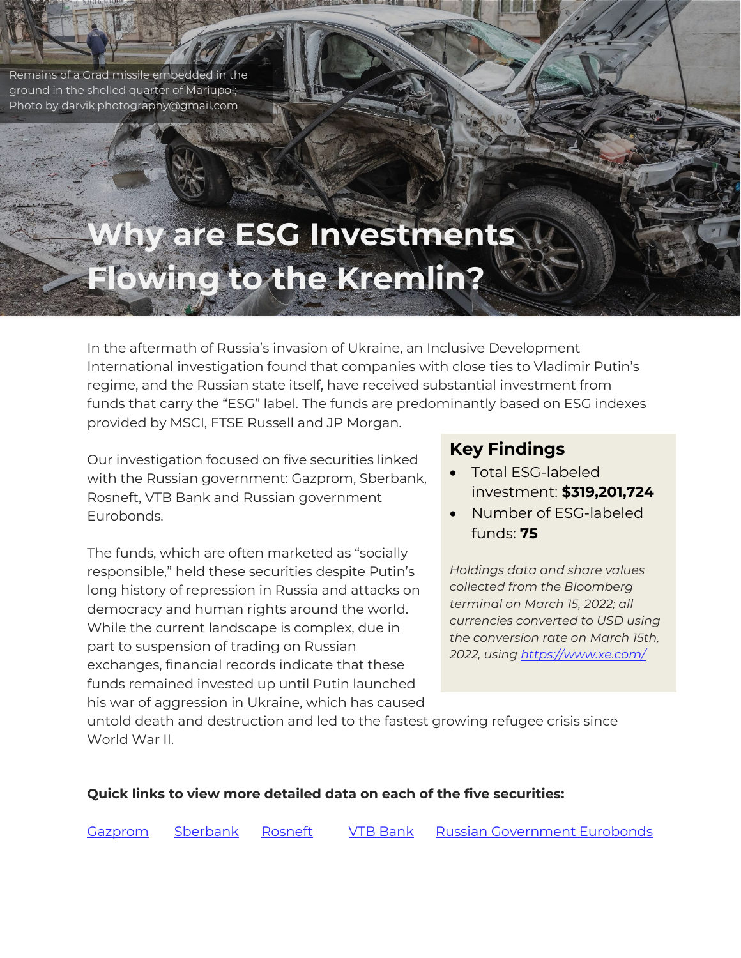Remains of a Grad missile embedded in the ground in the shelled quarter of Mariupol; Photo by darvik.photography@gmail.com

# **Why are ESG Investments Flowing to the Kremlin?**

In the aftermath of Russia's invasion of Ukraine, an Inclusive Development International investigation found that companies with close ties to Vladimir Putin's regime, and the Russian state itself, have received substantial investment from funds that carry the "ESG" label. The funds are predominantly based on ESG indexes provided by MSCI, FTSE Russell and JP Morgan.

Our investigation focused on five securities linked with the Russian government: Gazprom, Sberbank, Rosneft, VTB Bank and Russian government Eurobonds.

The funds, which are often marketed as "socially responsible," held these securities despite Putin's long history of repression in Russia and attacks on democracy and human rights around the world. While the current landscape is complex, due in part to suspension of trading on Russian exchanges, financial records indicate that these funds remained invested up until Putin launched his war of aggression in Ukraine, which has caused

# **Key Findings**

- Total ESG-labeled investment: **\$319,201,724**
- Number of ESG-labeled funds: **75**

<span id="page-0-0"></span>*Holdings data and share values collected from the Bloomberg terminal on March 15, 2022; all currencies converted to USD using the conversion rate on March 15th, 2022, using<https://www.xe.com/>*

untold death and destruction and led to the fastest growing refugee crisis since World War II.

#### **Quick links to view more detailed data on each of the five securities:**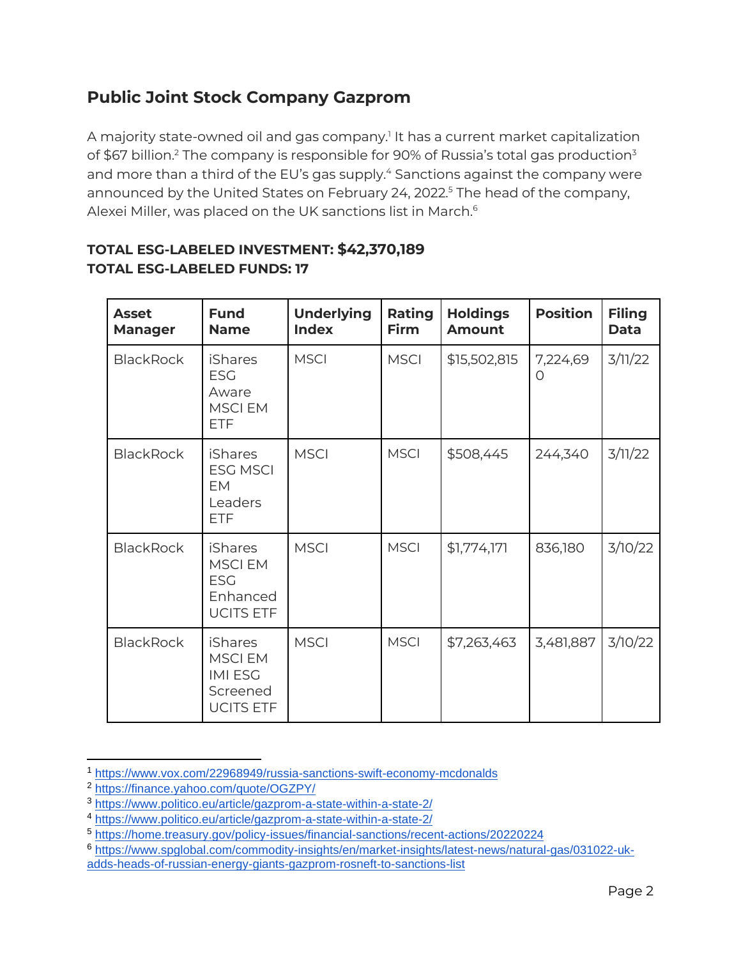# **Public Joint Stock Company Gazprom**

A majority state-owned oil and gas company.<sup>1</sup> It has a current market capitalization of \$67 billion.<sup>2</sup> The company is responsible for 90% of Russia's total gas production<sup>3</sup> and more than a third of the EU's gas supply.<sup>4</sup> Sanctions against the company were announced by the United States on February 24, 2022.<sup>5</sup> The head of the company, Alexei Miller, was placed on the UK sanctions list in March.<sup>6</sup>

| <b>Asset</b><br><b>Manager</b> | <b>Fund</b><br><b>Name</b>                                                        | <b>Underlying</b><br><b>Index</b> | Rating<br><b>Firm</b> | <b>Holdings</b><br><b>Amount</b> | <b>Position</b>      | <b>Filing</b><br><b>Data</b> |
|--------------------------------|-----------------------------------------------------------------------------------|-----------------------------------|-----------------------|----------------------------------|----------------------|------------------------------|
| <b>BlackRock</b>               | <b>iShares</b><br><b>ESG</b><br>Aware<br><b>MSCIEM</b><br><b>ETF</b>              | <b>MSCI</b>                       | <b>MSCI</b>           | \$15,502,815                     | 7,224,69<br>$\Omega$ | 3/11/22                      |
| <b>BlackRock</b>               | <b>iShares</b><br><b>ESG MSCI</b><br>EM<br>Leaders<br><b>ETF</b>                  | <b>MSCI</b>                       | <b>MSCI</b>           | \$508,445                        | 244,340              | 3/11/22                      |
| <b>BlackRock</b>               | <b>iShares</b><br><b>MSCIEM</b><br><b>ESG</b><br>Enhanced<br><b>UCITS ETF</b>     | <b>MSCI</b>                       | <b>MSCI</b>           | \$1,774,171                      | 836,180              | 3/10/22                      |
| <b>BlackRock</b>               | <b>iShares</b><br><b>MSCIEM</b><br><b>IMI ESG</b><br>Screened<br><b>UCITS ETF</b> | <b>MSCI</b>                       | <b>MSCI</b>           | \$7,263,463                      | 3,481,887            | 3/10/22                      |

#### **TOTAL ESG-LABELED INVESTMENT: \$42,370,189 TOTAL ESG-LABELED FUNDS: 17**

<sup>1</sup> <https://www.vox.com/22968949/russia-sanctions-swift-economy-mcdonalds>

<sup>2</sup> <https://finance.yahoo.com/quote/OGZPY/>

<sup>3</sup> <https://www.politico.eu/article/gazprom-a-state-within-a-state-2/>

<sup>4</sup> <https://www.politico.eu/article/gazprom-a-state-within-a-state-2/>

<sup>5</sup> <https://home.treasury.gov/policy-issues/financial-sanctions/recent-actions/20220224>

<sup>6</sup> [https://www.spglobal.com/commodity-insights/en/market-insights/latest-news/natural-gas/031022-uk](https://www.spglobal.com/commodity-insights/en/market-insights/latest-news/natural-gas/031022-uk-adds-heads-of-russian-energy-giants-gazprom-rosneft-to-sanctions-list)[adds-heads-of-russian-energy-giants-gazprom-rosneft-to-sanctions-list](https://www.spglobal.com/commodity-insights/en/market-insights/latest-news/natural-gas/031022-uk-adds-heads-of-russian-energy-giants-gazprom-rosneft-to-sanctions-list)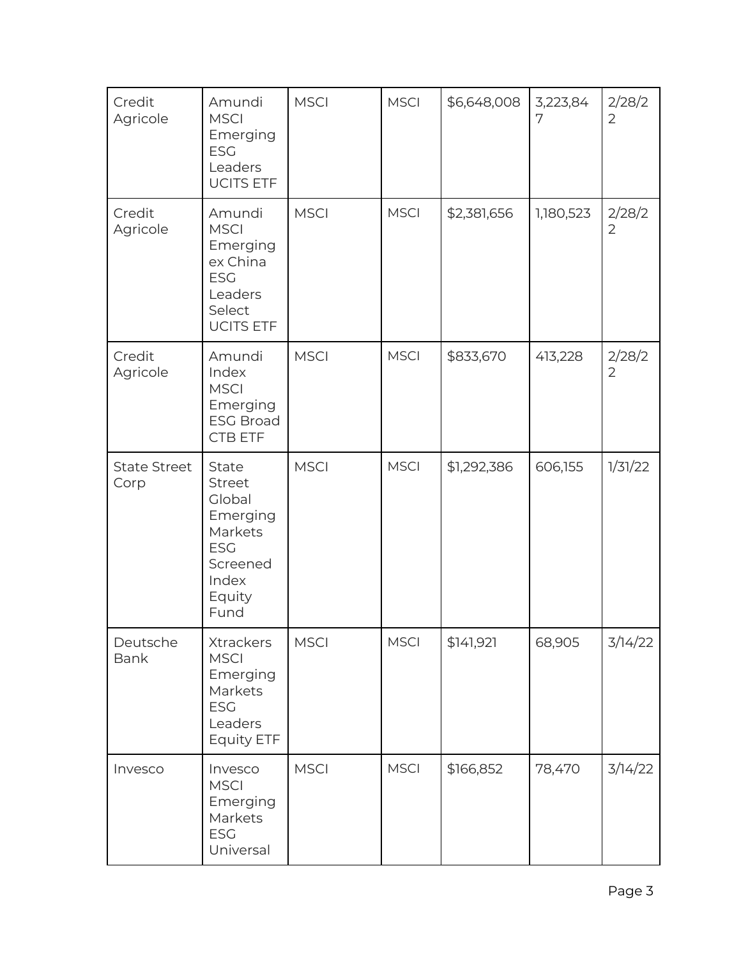| Credit<br>Agricole          | Amundi<br><b>MSCI</b><br>Emerging<br><b>ESG</b><br>Leaders<br><b>UCITS ETF</b>                               | <b>MSCI</b> | <b>MSCI</b> | \$6,648,008 | 3,223,84<br>7 | 2/28/2<br>$\overline{2}$ |
|-----------------------------|--------------------------------------------------------------------------------------------------------------|-------------|-------------|-------------|---------------|--------------------------|
| Credit<br>Agricole          | Amundi<br><b>MSCI</b><br>Emerging<br>ex China<br><b>ESG</b><br>Leaders<br>Select<br><b>UCITS ETF</b>         | <b>MSCI</b> | <b>MSCI</b> | \$2,381,656 | 1,180,523     | 2/28/2<br>$\overline{2}$ |
| Credit<br>Agricole          | Amundi<br>Index<br><b>MSCI</b><br>Emerging<br><b>ESG Broad</b><br><b>CTB ETF</b>                             | <b>MSCI</b> | <b>MSCI</b> | \$833,670   | 413,228       | 2/28/2<br>$\overline{2}$ |
| <b>State Street</b><br>Corp | State<br><b>Street</b><br>Global<br>Emerging<br>Markets<br><b>ESG</b><br>Screened<br>Index<br>Equity<br>Fund | <b>MSCI</b> | <b>MSCI</b> | \$1,292,386 | 606,155       | 1/31/22                  |
| Deutsche<br><b>Bank</b>     | <b>Xtrackers</b><br><b>MSCI</b><br>Emerging<br>Markets<br><b>ESG</b><br>Leaders<br>Equity ETF                | <b>MSCI</b> | <b>MSCI</b> | \$141,921   | 68,905        | 3/14/22                  |
| Invesco                     | Invesco<br><b>MSCI</b><br>Emerging<br>Markets<br><b>ESG</b><br>Universal                                     | <b>MSCI</b> | <b>MSCI</b> | \$166,852   | 78,470        | 3/14/22                  |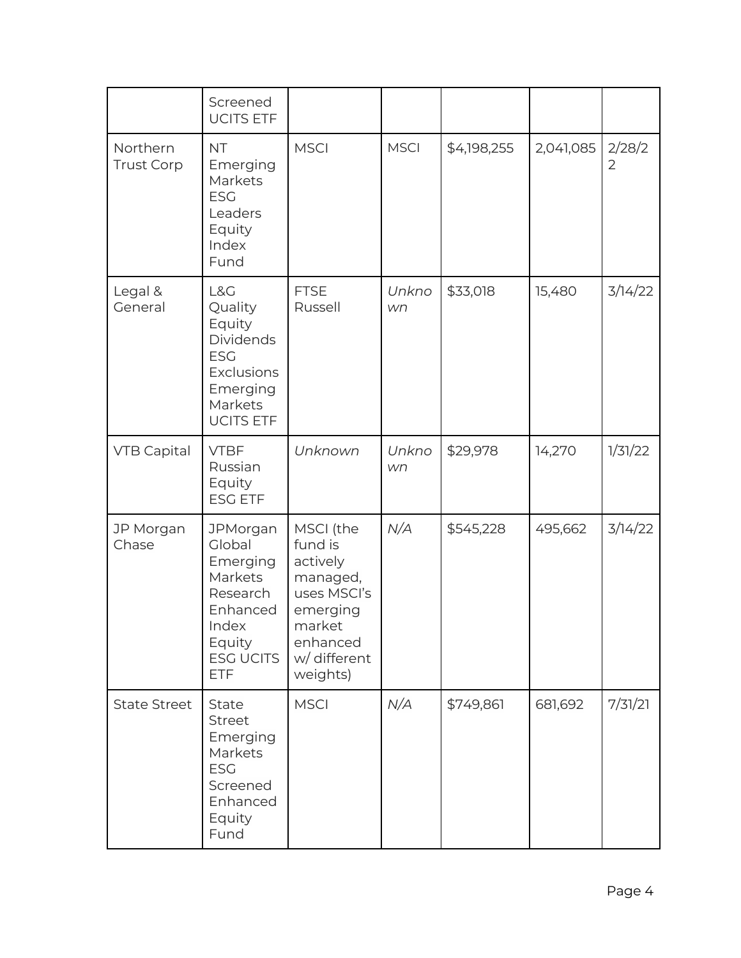|                               | Screened<br><b>UCITS ETF</b>                                                                                           |                                                                                                                           |             |             |           |                          |
|-------------------------------|------------------------------------------------------------------------------------------------------------------------|---------------------------------------------------------------------------------------------------------------------------|-------------|-------------|-----------|--------------------------|
| Northern<br><b>Trust Corp</b> | <b>NT</b><br>Emerging<br>Markets<br><b>ESG</b><br>Leaders<br>Equity<br>Index<br>Fund                                   | <b>MSCI</b>                                                                                                               | <b>MSCI</b> | \$4,198,255 | 2,041,085 | 2/28/2<br>$\overline{2}$ |
| Legal &<br>General            | L&G<br>Quality<br>Equity<br><b>Dividends</b><br><b>ESG</b><br>Exclusions<br>Emerging<br>Markets<br><b>UCITS ETF</b>    | <b>FTSE</b><br>Russell                                                                                                    | Unkno<br>wn | \$33,018    | 15,480    | 3/14/22                  |
| <b>VTB Capital</b>            | <b>VTBF</b><br>Russian<br>Equity<br><b>ESG ETF</b>                                                                     | Unknown                                                                                                                   | Unkno<br>wn | \$29,978    | 14,270    | 1/31/22                  |
| JP Morgan<br>Chase            | JPMorgan<br>Global<br>Emerging<br>Markets<br>Research<br>Enhanced<br>Index<br>Equity<br><b>ESG UCITS</b><br><b>ETF</b> | MSCI (the<br>fund is<br>actively<br>managed,<br>uses MSCI's<br>emerging<br>market<br>enhanced<br>w/ different<br>weights) | N/A         | \$545,228   | 495,662   | 3/14/22                  |
| <b>State Street</b>           | State<br><b>Street</b><br>Emerging<br>Markets<br><b>ESG</b><br>Screened<br>Enhanced<br>Equity<br>Fund                  | <b>MSCI</b>                                                                                                               | N/A         | \$749,861   | 681,692   | 7/31/21                  |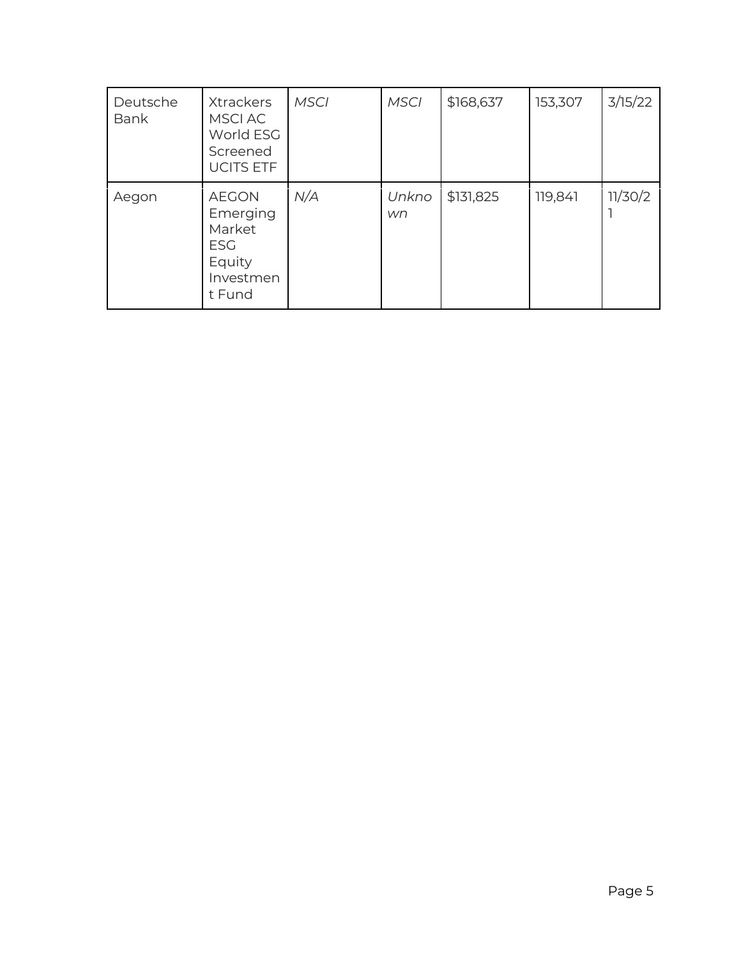| Deutsche<br><b>Bank</b> | <b>Xtrackers</b><br>MSCI AC<br>World ESG<br>Screened<br><b>UCITS ETF</b>          | <b>MSCI</b> | <b>MSCI</b> | \$168,637 | 153,307 | 3/15/22 |
|-------------------------|-----------------------------------------------------------------------------------|-------------|-------------|-----------|---------|---------|
| Aegon                   | <b>AEGON</b><br>Emerging<br>Market<br><b>ESG</b><br>Equity<br>Investmen<br>t Fund | N/A         | Unkno<br>wn | \$131,825 | 119,841 | 11/30/2 |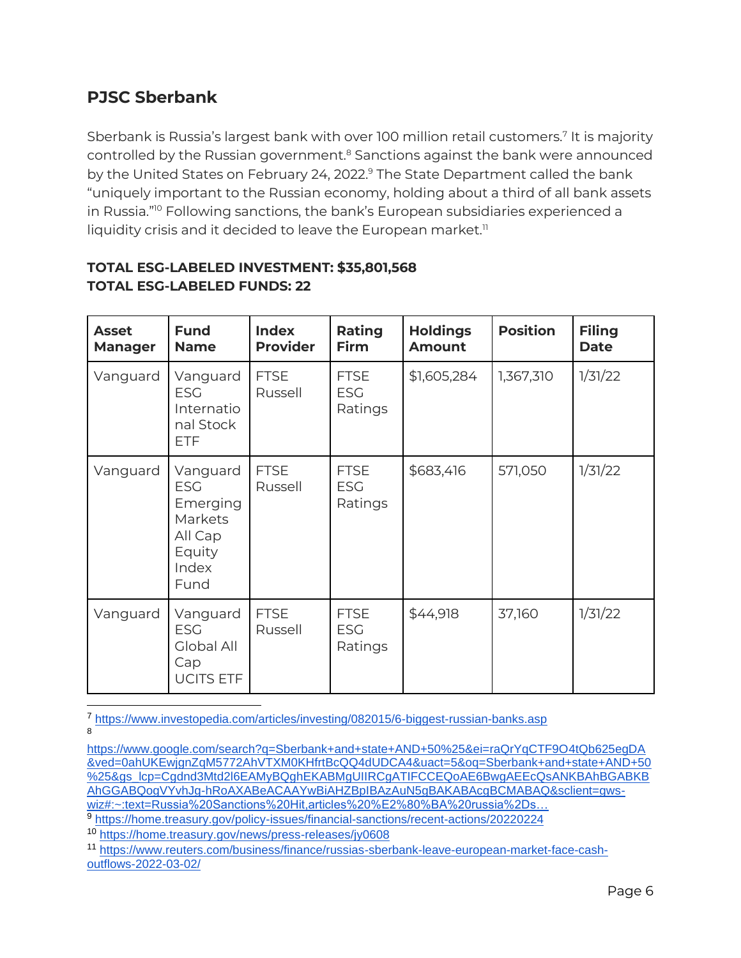## <span id="page-5-0"></span>**PJSC Sberbank**

Sberbank is Russia's largest bank with over 100 million retail customers.<sup>7</sup> It is majority controlled by the Russian government.<sup>8</sup> Sanctions against the bank were announced by the United States on February 24, 2022.<sup>9</sup> The State Department called the bank "uniquely important to the Russian economy, holding about a third of all bank assets in Russia."<sup>10</sup> Following sanctions, the bank's European subsidiaries experienced a liquidity crisis and it decided to leave the European market. $<sup>11</sup>$ </sup>

| <b>Asset</b><br><b>Manager</b> | <b>Fund</b><br><b>Name</b>                                                          | <b>Index</b><br><b>Provider</b> | Rating<br><b>Firm</b>                | <b>Holdings</b><br><b>Amount</b> | <b>Position</b> | <b>Filing</b><br><b>Date</b> |
|--------------------------------|-------------------------------------------------------------------------------------|---------------------------------|--------------------------------------|----------------------------------|-----------------|------------------------------|
| Vanguard                       | Vanguard<br><b>ESG</b><br>Internatio<br>nal Stock<br><b>ETF</b>                     | <b>FTSE</b><br>Russell          | <b>FTSE</b><br><b>ESG</b><br>Ratings | \$1,605,284                      | 1,367,310       | 1/31/22                      |
| Vanguard                       | Vanguard<br><b>ESG</b><br>Emerging<br>Markets<br>All Cap<br>Equity<br>Index<br>Fund | <b>FTSE</b><br>Russell          | <b>FTSE</b><br><b>ESG</b><br>Ratings | \$683,416                        | 571,050         | 1/31/22                      |
| Vanguard                       | Vanguard<br><b>ESG</b><br>Global All<br>Cap<br><b>UCITS ETF</b>                     | <b>FTSE</b><br>Russell          | <b>FTSE</b><br><b>ESG</b><br>Ratings | \$44,918                         | 37,160          | 1/31/22                      |

## **TOTAL ESG-LABELED INVESTMENT: \$35,801,568 TOTAL ESG-LABELED FUNDS: 22**

<sup>7</sup> <https://www.investopedia.com/articles/investing/082015/6-biggest-russian-banks.asp> 8

[https://www.google.com/search?q=Sberbank+and+state+AND+50%25&ei=raQrYqCTF9O4tQb625egDA](https://www.google.com/search?q=Sberbank+and+state+AND+50%25&ei=raQrYqCTF9O4tQb625egDA&ved=0ahUKEwjgnZqM5772AhVTXM0KHfrtBcQQ4dUDCA4&uact=5&oq=Sberbank+and+state+AND+50%25&gs_lcp=Cgdnd3Mtd2l6EAMyBQghEKABMgUIIRCgATIFCCEQoAE6BwgAEEcQsANKBAhBGABKBAhGGABQogVYvhJg-hRoAXABeACAAYwBiAHZBpIBAzAuN5gBAKABAcgBCMABAQ&sclient=gws-wiz#:~:text=Russia%20Sanctions%20Hit,articles%20%E2%80%BA%20russia%2Ds%E2%80%A6) [&ved=0ahUKEwjgnZqM5772AhVTXM0KHfrtBcQQ4dUDCA4&uact=5&oq=Sberbank+and+state+AND+50](https://www.google.com/search?q=Sberbank+and+state+AND+50%25&ei=raQrYqCTF9O4tQb625egDA&ved=0ahUKEwjgnZqM5772AhVTXM0KHfrtBcQQ4dUDCA4&uact=5&oq=Sberbank+and+state+AND+50%25&gs_lcp=Cgdnd3Mtd2l6EAMyBQghEKABMgUIIRCgATIFCCEQoAE6BwgAEEcQsANKBAhBGABKBAhGGABQogVYvhJg-hRoAXABeACAAYwBiAHZBpIBAzAuN5gBAKABAcgBCMABAQ&sclient=gws-wiz#:~:text=Russia%20Sanctions%20Hit,articles%20%E2%80%BA%20russia%2Ds%E2%80%A6) [%25&gs\\_lcp=Cgdnd3Mtd2l6EAMyBQghEKABMgUIIRCgATIFCCEQoAE6BwgAEEcQsANKBAhBGABKB](https://www.google.com/search?q=Sberbank+and+state+AND+50%25&ei=raQrYqCTF9O4tQb625egDA&ved=0ahUKEwjgnZqM5772AhVTXM0KHfrtBcQQ4dUDCA4&uact=5&oq=Sberbank+and+state+AND+50%25&gs_lcp=Cgdnd3Mtd2l6EAMyBQghEKABMgUIIRCgATIFCCEQoAE6BwgAEEcQsANKBAhBGABKBAhGGABQogVYvhJg-hRoAXABeACAAYwBiAHZBpIBAzAuN5gBAKABAcgBCMABAQ&sclient=gws-wiz#:~:text=Russia%20Sanctions%20Hit,articles%20%E2%80%BA%20russia%2Ds%E2%80%A6) [AhGGABQogVYvhJg-hRoAXABeACAAYwBiAHZBpIBAzAuN5gBAKABAcgBCMABAQ&sclient=gws](https://www.google.com/search?q=Sberbank+and+state+AND+50%25&ei=raQrYqCTF9O4tQb625egDA&ved=0ahUKEwjgnZqM5772AhVTXM0KHfrtBcQQ4dUDCA4&uact=5&oq=Sberbank+and+state+AND+50%25&gs_lcp=Cgdnd3Mtd2l6EAMyBQghEKABMgUIIRCgATIFCCEQoAE6BwgAEEcQsANKBAhBGABKBAhGGABQogVYvhJg-hRoAXABeACAAYwBiAHZBpIBAzAuN5gBAKABAcgBCMABAQ&sclient=gws-wiz#:~:text=Russia%20Sanctions%20Hit,articles%20%E2%80%BA%20russia%2Ds%E2%80%A6)[wiz#:~:text=Russia%20Sanctions%20Hit,articles%20%E2%80%BA%20russia%2Ds…](https://www.google.com/search?q=Sberbank+and+state+AND+50%25&ei=raQrYqCTF9O4tQb625egDA&ved=0ahUKEwjgnZqM5772AhVTXM0KHfrtBcQQ4dUDCA4&uact=5&oq=Sberbank+and+state+AND+50%25&gs_lcp=Cgdnd3Mtd2l6EAMyBQghEKABMgUIIRCgATIFCCEQoAE6BwgAEEcQsANKBAhBGABKBAhGGABQogVYvhJg-hRoAXABeACAAYwBiAHZBpIBAzAuN5gBAKABAcgBCMABAQ&sclient=gws-wiz#:~:text=Russia%20Sanctions%20Hit,articles%20%E2%80%BA%20russia%2Ds%E2%80%A6)

<sup>9</sup> <https://home.treasury.gov/policy-issues/financial-sanctions/recent-actions/20220224>

<sup>10</sup> <https://home.treasury.gov/news/press-releases/jy0608>

<sup>11</sup> [https://www.reuters.com/business/finance/russias-sberbank-leave-european-market-face-cash](https://www.reuters.com/business/finance/russias-sberbank-leave-european-market-face-cash-outflows-2022-03-02/)[outflows-2022-03-02/](https://www.reuters.com/business/finance/russias-sberbank-leave-european-market-face-cash-outflows-2022-03-02/)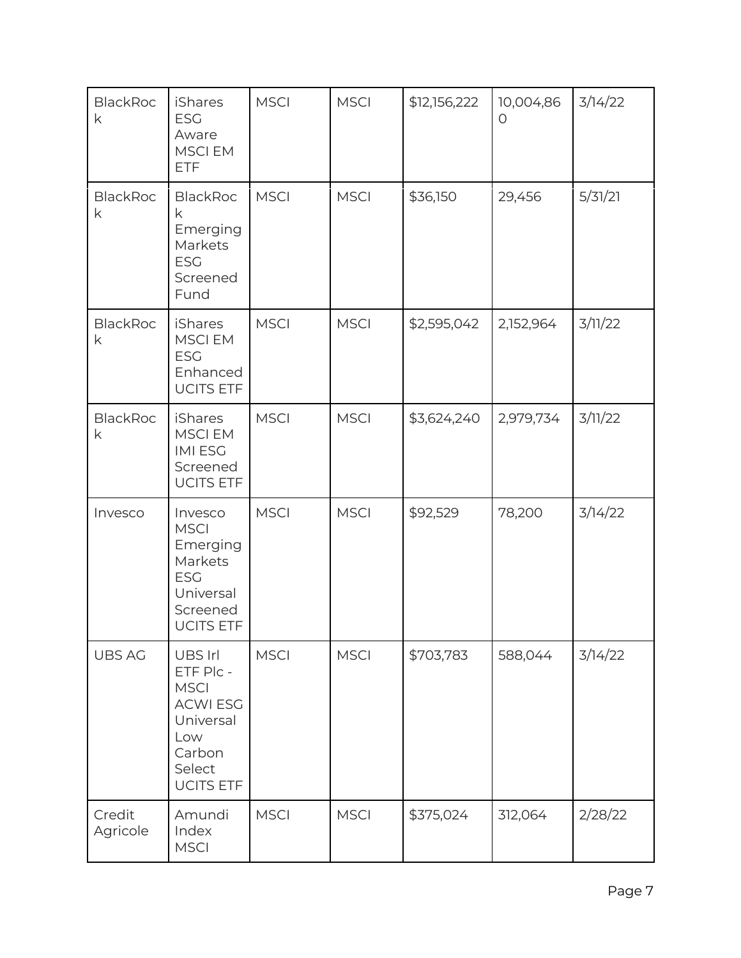| <b>BlackRoc</b><br>k | <b>iShares</b><br><b>ESG</b><br>Aware<br><b>MSCIEM</b><br><b>ETF</b>                                               | <b>MSCI</b> | <b>MSCI</b> | \$12,156,222 | 10,004,86<br>$\Omega$ | 3/14/22 |
|----------------------|--------------------------------------------------------------------------------------------------------------------|-------------|-------------|--------------|-----------------------|---------|
| <b>BlackRoc</b><br>k | <b>BlackRoc</b><br>k<br>Emerging<br>Markets<br><b>ESG</b><br>Screened<br>Fund                                      | <b>MSCI</b> | <b>MSCI</b> | \$36,150     | 29,456                | 5/31/21 |
| <b>BlackRoc</b><br>k | <b>iShares</b><br><b>MSCIEM</b><br><b>ESG</b><br>Enhanced<br><b>UCITS ETF</b>                                      | <b>MSCI</b> | <b>MSCI</b> | \$2,595,042  | 2,152,964             | 3/11/22 |
| <b>BlackRoc</b><br>k | <b>iShares</b><br><b>MSCI EM</b><br><b>IMIESG</b><br>Screened<br><b>UCITS ETF</b>                                  | <b>MSCI</b> | <b>MSCI</b> | \$3,624,240  | 2,979,734             | 3/11/22 |
| Invesco              | Invesco<br><b>MSCI</b><br>Emerging<br>Markets<br><b>ESG</b><br>Universal<br>Screened<br><b>UCITS ETF</b>           | <b>MSCI</b> | <b>MSCI</b> | \$92,529     | 78,200                | 3/14/22 |
| <b>UBS AG</b>        | UBS Irl<br>ETF Plc -<br><b>MSCI</b><br><b>ACWI ESG</b><br>Universal<br>Low<br>Carbon<br>Select<br><b>UCITS ETF</b> | <b>MSCI</b> | <b>MSCI</b> | \$703,783    | 588,044               | 3/14/22 |
| Credit<br>Agricole   | Amundi<br>Index<br><b>MSCI</b>                                                                                     | <b>MSCI</b> | <b>MSCI</b> | \$375,024    | 312,064               | 2/28/22 |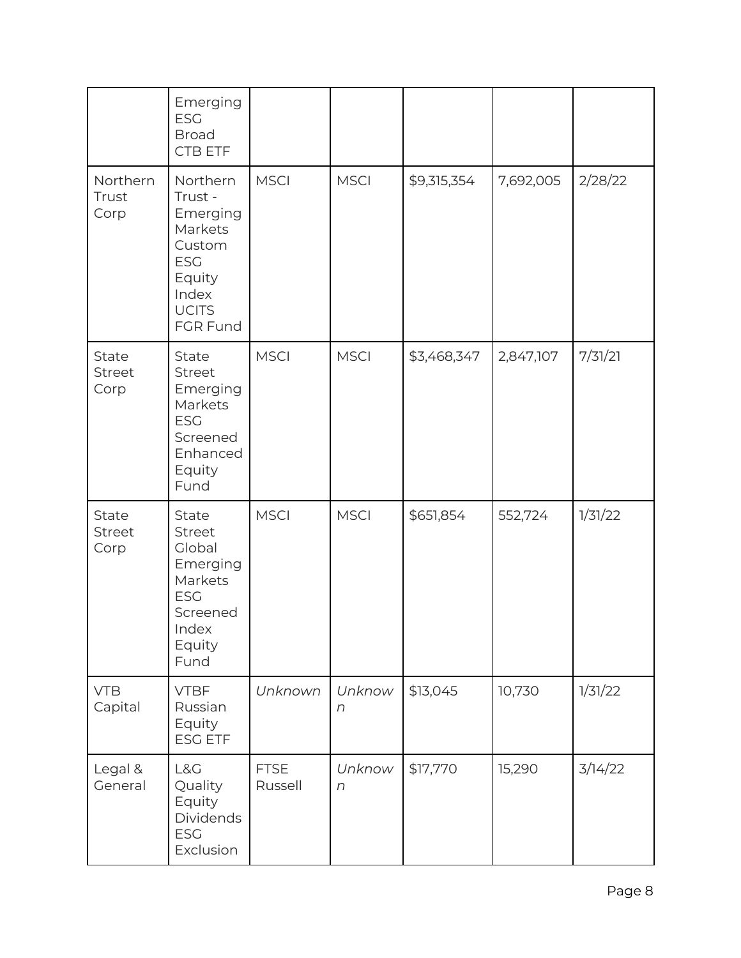|                                       | Emerging<br><b>ESG</b><br><b>Broad</b><br>CTB ETF                                                                 |                        |                      |             |           |         |
|---------------------------------------|-------------------------------------------------------------------------------------------------------------------|------------------------|----------------------|-------------|-----------|---------|
| Northern<br>Trust<br>Corp             | Northern<br>Trust -<br>Emerging<br>Markets<br>Custom<br><b>ESG</b><br>Equity<br>Index<br><b>UCITS</b><br>FGR Fund | <b>MSCI</b>            | <b>MSCI</b>          | \$9,315,354 | 7,692,005 | 2/28/22 |
| <b>State</b><br><b>Street</b><br>Corp | <b>State</b><br>Street<br>Emerging<br>Markets<br><b>ESG</b><br>Screened<br>Enhanced<br>Equity<br>Fund             | <b>MSCI</b>            | <b>MSCI</b>          | \$3,468,347 | 2,847,107 | 7/31/21 |
| <b>State</b><br><b>Street</b><br>Corp | State<br><b>Street</b><br>Global<br>Emerging<br>Markets<br><b>ESG</b><br>Screened<br>Index<br>Equity<br>Fund      | <b>MSCI</b>            | <b>MSCI</b>          | \$651,854   | 552,724   | 1/31/22 |
| <b>VTB</b><br>Capital                 | <b>VTBF</b><br>Russian<br>Equity<br><b>ESG ETF</b>                                                                | Unknown                | Unknow<br>n          | \$13,045    | 10,730    | 1/31/22 |
| Legal &<br>General                    | L&G<br>Quality<br>Equity<br><b>Dividends</b><br><b>ESG</b><br>Exclusion                                           | <b>FTSE</b><br>Russell | Unknow<br>$\sqrt{n}$ | \$17,770    | 15,290    | 3/14/22 |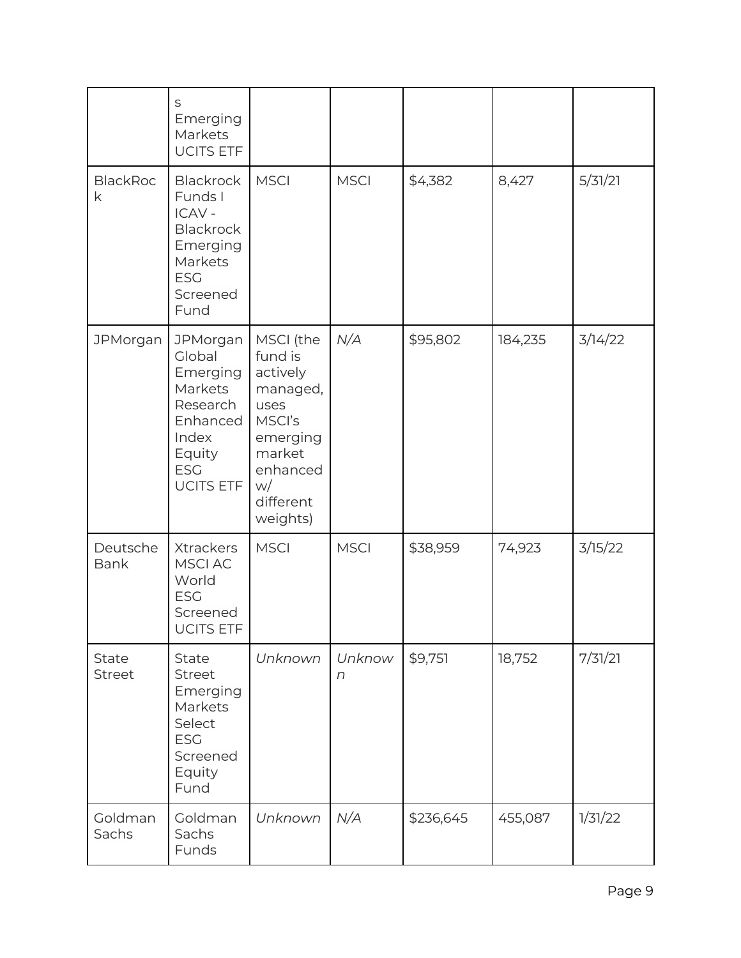|                         | S<br>Emerging<br>Markets<br><b>UCITS ETF</b>                                                                           |                                                                                                                                 |                      |           |         |         |
|-------------------------|------------------------------------------------------------------------------------------------------------------------|---------------------------------------------------------------------------------------------------------------------------------|----------------------|-----------|---------|---------|
| <b>BlackRoc</b><br>k    | <b>Blackrock</b><br>Funds I<br>ICAV -<br><b>Blackrock</b><br>Emerging<br>Markets<br><b>ESG</b><br>Screened<br>Fund     | <b>MSCI</b>                                                                                                                     | <b>MSCI</b>          | \$4,382   | 8,427   | 5/31/21 |
| <b>JPMorgan</b>         | JPMorgan<br>Global<br>Emerging<br>Markets<br>Research<br>Enhanced<br>Index<br>Equity<br><b>ESG</b><br><b>UCITS ETF</b> | MSCI (the<br>fund is<br>actively<br>managed,<br>uses<br>MSCI's<br>emerging<br>market<br>enhanced<br>w/<br>different<br>weights) | N/A                  | \$95,802  | 184,235 | 3/14/22 |
| Deutsche<br><b>Bank</b> | Xtrackers<br><b>MSCI AC</b><br>World<br><b>ESG</b><br>Screened<br><b>UCITS ETF</b>                                     | <b>MSCI</b>                                                                                                                     | <b>MSCI</b>          | \$38,959  | 74,923  | 3/15/22 |
| State<br><b>Street</b>  | State<br><b>Street</b><br>Emerging<br>Markets<br>Select<br><b>ESG</b><br>Screened<br>Equity<br>Fund                    | Unknown                                                                                                                         | Unknow<br>$\sqrt{n}$ | \$9,751   | 18,752  | 7/31/21 |
| Goldman<br>Sachs        | Goldman<br>Sachs<br>Funds                                                                                              | Unknown                                                                                                                         | N/A                  | \$236,645 | 455,087 | 1/31/22 |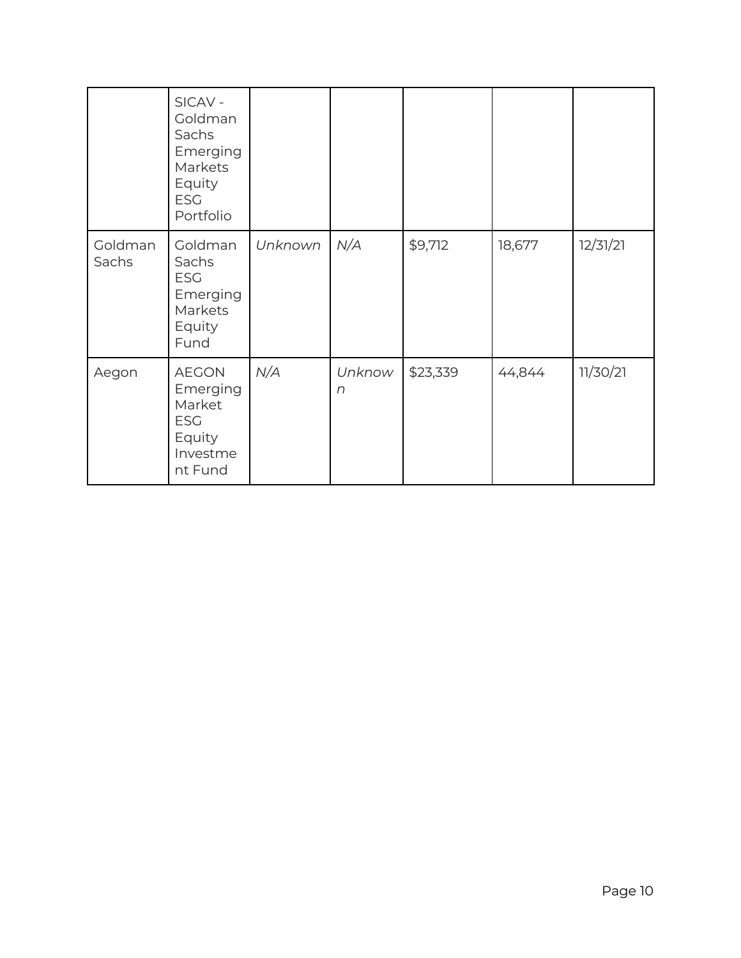|                  | SICAV-<br>Goldman<br>Sachs<br>Emerging<br>Markets<br>Equity<br><b>ESG</b><br>Portfolio |         |                    |          |        |          |
|------------------|----------------------------------------------------------------------------------------|---------|--------------------|----------|--------|----------|
| Goldman<br>Sachs | Goldman<br>Sachs<br><b>ESG</b><br>Emerging<br>Markets<br>Equity<br>Fund                | Unknown | N/A                | \$9,712  | 18,677 | 12/31/21 |
| Aegon            | <b>AEGON</b><br>Emerging<br>Market<br><b>ESG</b><br>Equity<br>Investme<br>nt Fund      | N/A     | Unknow<br>$\Gamma$ | \$23,339 | 44,844 | 11/30/21 |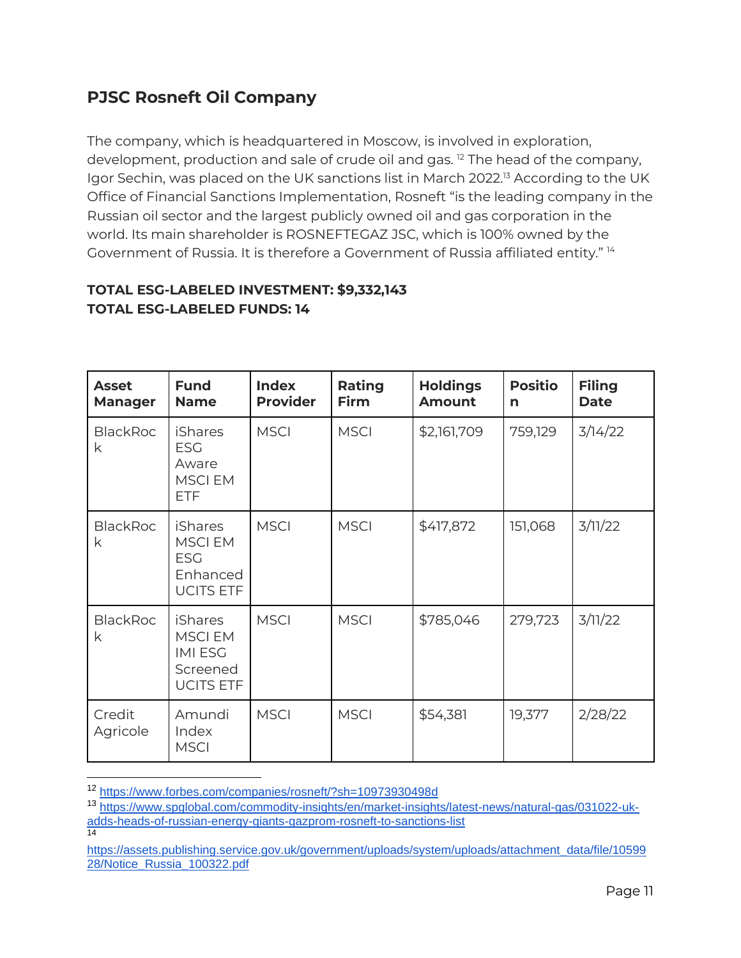# <span id="page-10-0"></span>**PJSC Rosneft Oil Company**

The company, which is headquartered in Moscow, is involved in exploration, development, production and sale of crude oil and gas.<sup>12</sup> The head of the company, Igor Sechin, was placed on the UK sanctions list in March 2022.<sup>13</sup> According to the UK Office of Financial Sanctions Implementation, Rosneft "is the leading company in the Russian oil sector and the largest publicly owned oil and gas corporation in the world. Its main shareholder is ROSNEFTEGAZ JSC, which is 100% owned by the Government of Russia. It is therefore a Government of Russia affiliated entity." <sup>14</sup>

### **TOTAL ESG-LABELED INVESTMENT: \$9,332,143 TOTAL ESG-LABELED FUNDS: 14**

| <b>Asset</b><br><b>Manager</b> | <b>Fund</b><br><b>Name</b>                                                        | <b>Index</b><br><b>Provider</b> | Rating<br><b>Firm</b> | <b>Holdings</b><br><b>Amount</b> | <b>Positio</b><br>n | <b>Filing</b><br><b>Date</b> |
|--------------------------------|-----------------------------------------------------------------------------------|---------------------------------|-----------------------|----------------------------------|---------------------|------------------------------|
| <b>BlackRoc</b><br>k           | <b>iShares</b><br><b>ESG</b><br>Aware<br><b>MSCIEM</b><br><b>ETF</b>              | <b>MSCI</b>                     | <b>MSCI</b>           | \$2,161,709                      | 759,129             | 3/14/22                      |
| <b>BlackRoc</b><br>k           | <b>iShares</b><br><b>MSCIEM</b><br><b>ESG</b><br>Enhanced<br><b>UCITS ETF</b>     | <b>MSCI</b>                     | <b>MSCI</b>           | \$417,872                        | 151,068             | 3/11/22                      |
| <b>BlackRoc</b><br>k           | <b>iShares</b><br><b>MSCIEM</b><br><b>IMI ESG</b><br>Screened<br><b>UCITS ETF</b> | <b>MSCI</b>                     | <b>MSCI</b>           | \$785,046                        | 279,723             | 3/11/22                      |
| Credit<br>Agricole             | Amundi<br>Index<br><b>MSCI</b>                                                    | <b>MSCI</b>                     | <b>MSCI</b>           | \$54,381                         | 19,377              | 2/28/22                      |

<sup>12</sup> <https://www.forbes.com/companies/rosneft/?sh=10973930498d>

<sup>13</sup> [https://www.spglobal.com/commodity-insights/en/market-insights/latest-news/natural-gas/031022-uk](https://www.spglobal.com/commodity-insights/en/market-insights/latest-news/natural-gas/031022-uk-adds-heads-of-russian-energy-giants-gazprom-rosneft-to-sanctions-list)[adds-heads-of-russian-energy-giants-gazprom-rosneft-to-sanctions-list](https://www.spglobal.com/commodity-insights/en/market-insights/latest-news/natural-gas/031022-uk-adds-heads-of-russian-energy-giants-gazprom-rosneft-to-sanctions-list) 14

[https://assets.publishing.service.gov.uk/government/uploads/system/uploads/attachment\\_data/file/10599](https://assets.publishing.service.gov.uk/government/uploads/system/uploads/attachment_data/file/1059928/Notice_Russia_100322.pdf) [28/Notice\\_Russia\\_100322.pdf](https://assets.publishing.service.gov.uk/government/uploads/system/uploads/attachment_data/file/1059928/Notice_Russia_100322.pdf)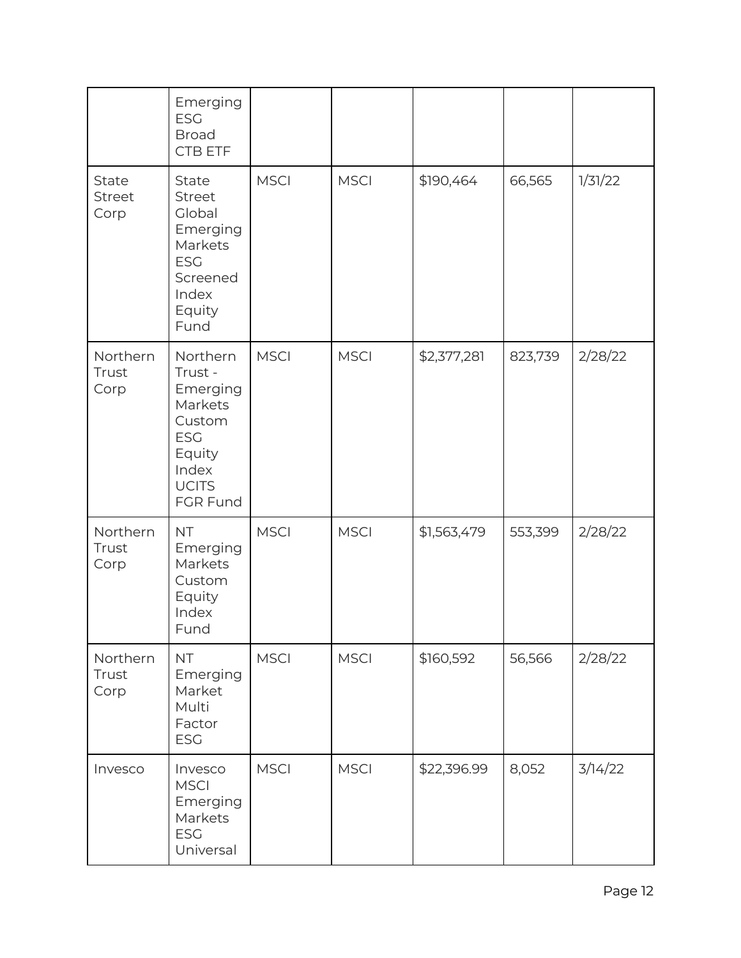|                           | Emerging<br><b>ESG</b><br><b>Broad</b><br>CTB ETF                                                                 |             |             |             |         |         |
|---------------------------|-------------------------------------------------------------------------------------------------------------------|-------------|-------------|-------------|---------|---------|
| State<br>Street<br>Corp   | State<br>Street<br>Global<br>Emerging<br>Markets<br><b>ESG</b><br>Screened<br>Index<br>Equity<br>Fund             | <b>MSCI</b> | <b>MSCI</b> | \$190,464   | 66,565  | 1/31/22 |
| Northern<br>Trust<br>Corp | Northern<br>Trust -<br>Emerging<br>Markets<br>Custom<br><b>ESG</b><br>Equity<br>Index<br><b>UCITS</b><br>FGR Fund | <b>MSCI</b> | <b>MSCI</b> | \$2,377,281 | 823,739 | 2/28/22 |
| Northern<br>Trust<br>Corp | <b>NT</b><br>Emerging<br>Markets<br>Custom<br>Equity<br>Index<br>Fund                                             | <b>MSCI</b> | <b>MSCI</b> | \$1,563,479 | 553,399 | 2/28/22 |
| Northern<br>Trust<br>Corp | <b>NT</b><br>Emerging<br>Market<br>Multi<br>Factor<br><b>ESG</b>                                                  | <b>MSCI</b> | <b>MSCI</b> | \$160,592   | 56,566  | 2/28/22 |
| Invesco                   | Invesco<br><b>MSCI</b><br>Emerging<br>Markets<br><b>ESG</b><br>Universal                                          | <b>MSCI</b> | <b>MSCI</b> | \$22,396.99 | 8,052   | 3/14/22 |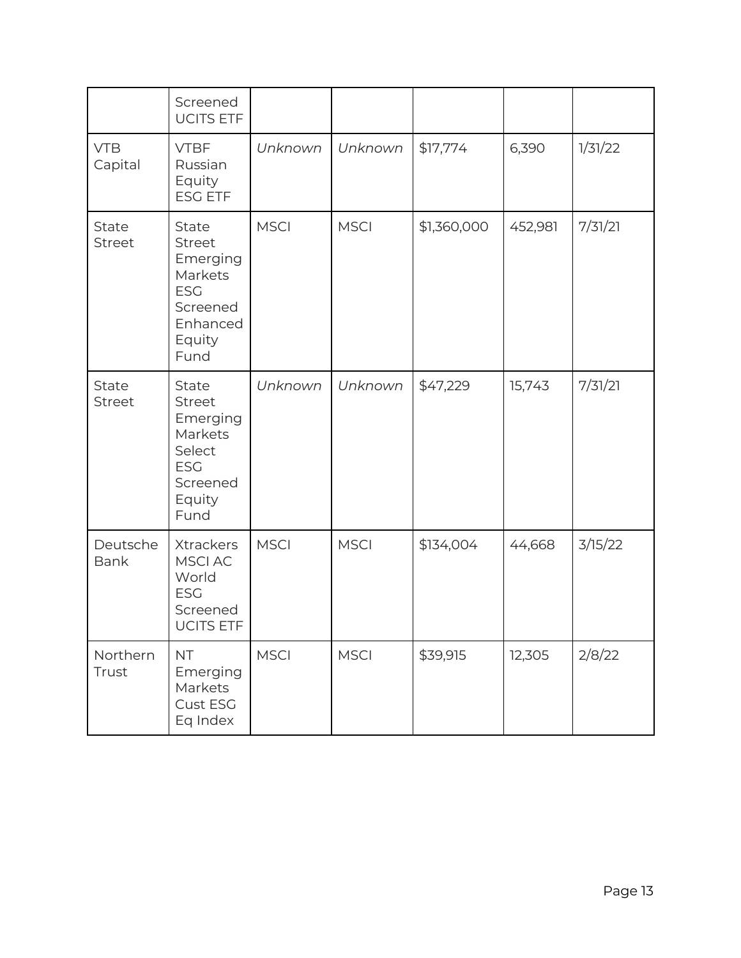|                         | Screened<br><b>UCITS ETF</b>                                                                                 |             |             |             |         |         |
|-------------------------|--------------------------------------------------------------------------------------------------------------|-------------|-------------|-------------|---------|---------|
| <b>VTB</b><br>Capital   | <b>VTBF</b><br>Russian<br>Equity<br><b>ESG ETF</b>                                                           | Unknown     | Unknown     | \$17,774    | 6,390   | 1/31/22 |
| State<br><b>Street</b>  | <b>State</b><br><b>Street</b><br>Emerging<br>Markets<br><b>ESG</b><br>Screened<br>Enhanced<br>Equity<br>Fund | <b>MSCI</b> | <b>MSCI</b> | \$1,360,000 | 452,981 | 7/31/21 |
| State<br>Street         | State<br><b>Street</b><br>Emerging<br>Markets<br>Select<br><b>ESG</b><br>Screened<br>Equity<br>Fund          | Unknown     | Unknown     | \$47,229    | 15,743  | 7/31/21 |
| Deutsche<br><b>Bank</b> | Xtrackers<br>MSCI AC<br>World<br><b>ESG</b><br>Screened<br><b>UCITS ETF</b>                                  | <b>MSCI</b> | <b>MSCI</b> | \$134,004   | 44,668  | 3/15/22 |
| Northern<br>Trust       | <b>NT</b><br>Emerging<br>Markets<br>Cust ESG<br>Eq Index                                                     | <b>MSCI</b> | <b>MSCI</b> | \$39,915    | 12,305  | 2/8/22  |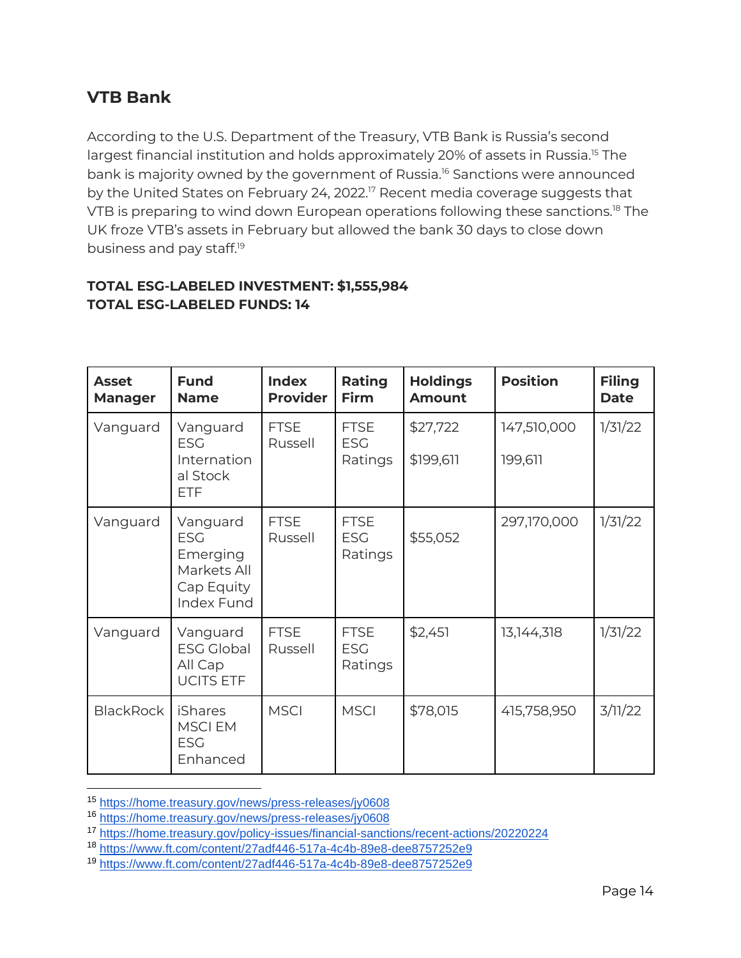## <span id="page-13-0"></span>**VTB Bank**

According to the U.S. Department of the Treasury, VTB Bank is Russia's second largest financial institution and holds approximately 20% of assets in Russia.<sup>15</sup> The bank is majority owned by the government of Russia.<sup>16</sup> Sanctions were announced by the United States on February 24, 2022.<sup>17</sup> Recent media coverage suggests that VTB is preparing to wind down European operations following these sanctions.<sup>18</sup> The UK froze VTB's assets in February but allowed the bank 30 days to close down business and pay staff.<sup>19</sup>

#### **TOTAL ESG-LABELED INVESTMENT: \$1,555,984 TOTAL ESG-LABELED FUNDS: 14**

| <b>Asset</b><br><b>Manager</b> | <b>Fund</b><br><b>Name</b>                                                    | <b>Index</b><br><b>Provider</b> | Rating<br><b>Firm</b>                | <b>Holdings</b><br><b>Amount</b> | <b>Position</b>        | <b>Filing</b><br><b>Date</b> |
|--------------------------------|-------------------------------------------------------------------------------|---------------------------------|--------------------------------------|----------------------------------|------------------------|------------------------------|
| Vanguard                       | Vanguard<br><b>ESG</b><br>Internation<br>al Stock<br><b>ETF</b>               | <b>FTSE</b><br>Russell          | <b>FTSE</b><br><b>ESG</b><br>Ratings | \$27,722<br>\$199,611            | 147,510,000<br>199,611 | 1/31/22                      |
| Vanguard                       | Vanguard<br><b>ESG</b><br>Emerging<br>Markets All<br>Cap Equity<br>Index Fund | <b>FTSE</b><br>Russell          | <b>FTSE</b><br><b>ESG</b><br>Ratings | \$55,052                         | 297,170,000            | 1/31/22                      |
| Vanguard                       | Vanguard<br><b>ESG Global</b><br>All Cap<br><b>UCITS ETF</b>                  | <b>FTSE</b><br>Russell          | <b>FTSE</b><br><b>ESG</b><br>Ratings | \$2,451                          | 13,144,318             | 1/31/22                      |
| <b>BlackRock</b>               | <b>iShares</b><br><b>MSCIEM</b><br><b>ESG</b><br>Enhanced                     | <b>MSCI</b>                     | <b>MSCI</b>                          | \$78,015                         | 415,758,950            | 3/11/22                      |

<sup>15</sup> <https://home.treasury.gov/news/press-releases/jy0608>

<sup>16</sup> <https://home.treasury.gov/news/press-releases/jy0608>

<sup>17</sup> <https://home.treasury.gov/policy-issues/financial-sanctions/recent-actions/20220224>

<sup>18</sup> <https://www.ft.com/content/27adf446-517a-4c4b-89e8-dee8757252e9>

<sup>19</sup> <https://www.ft.com/content/27adf446-517a-4c4b-89e8-dee8757252e9>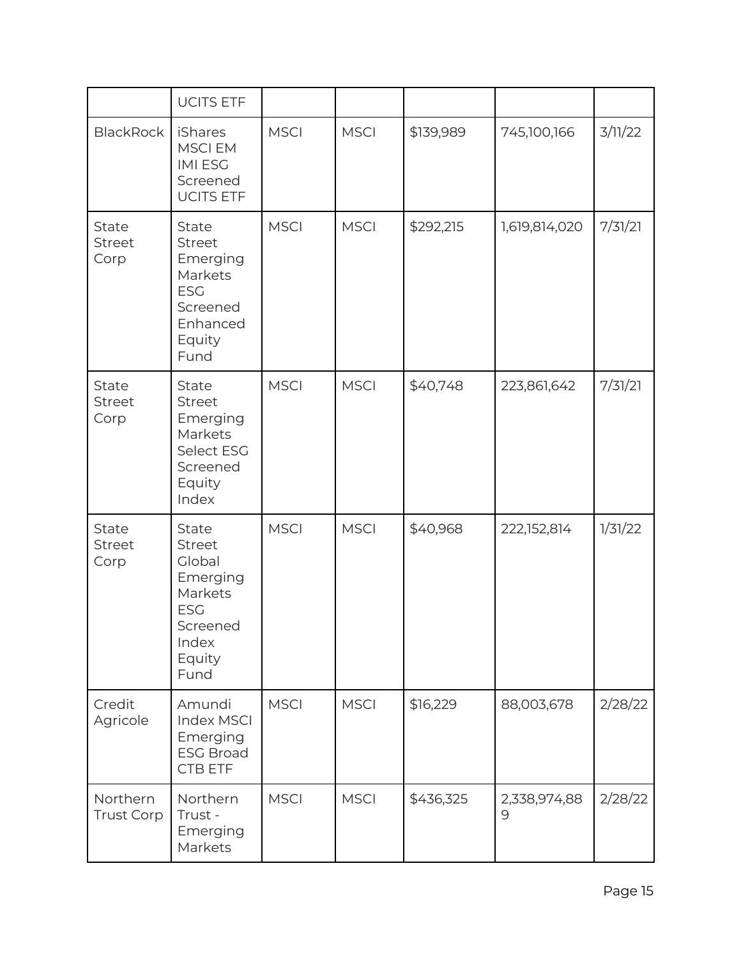|                                       | <b>UCITS ETF</b>                                                                                                    |             |             |           |                   |         |
|---------------------------------------|---------------------------------------------------------------------------------------------------------------------|-------------|-------------|-----------|-------------------|---------|
| <b>BlackRock</b>                      | iShares<br><b>MSCIEM</b><br><b>IMIESG</b><br>Screened<br><b>UCITS ETF</b>                                           | <b>MSCI</b> | <b>MSCI</b> | \$139,989 | 745,100,166       | 3/11/22 |
| State<br>Street<br>Corp               | State<br>Street<br>Emerging<br>Markets<br><b>ESG</b><br>Screened<br>Enhanced<br>Equity<br>Fund                      | <b>MSCI</b> | <b>MSCI</b> | \$292,215 | 1,619,814,020     | 7/31/21 |
| State<br>Street<br>Corp               | State<br><b>Street</b><br>Emerging<br>Markets<br>Select ESG<br>Screened<br>Equity<br>Index                          | <b>MSCI</b> | <b>MSCI</b> | \$40,748  | 223,861,642       | 7/31/21 |
| <b>State</b><br><b>Street</b><br>Corp | <b>State</b><br><b>Street</b><br>Global<br>Emerging<br>Markets<br><b>ESG</b><br>Screened<br>Index<br>Equity<br>Fund | <b>MSCI</b> | <b>MSCI</b> | \$40,968  | 222,152,814       | 1/31/22 |
| Credit<br>Agricole                    | Amundi<br>Index MSCI<br>Emerging<br><b>ESG Broad</b><br>CTB ETF                                                     | <b>MSCI</b> | <b>MSCI</b> | \$16,229  | 88,003,678        | 2/28/22 |
| Northern<br><b>Trust Corp</b>         | Northern<br>Trust -<br>Emerging<br>Markets                                                                          | <b>MSCI</b> | <b>MSCI</b> | \$436,325 | 2,338,974,88<br>9 | 2/28/22 |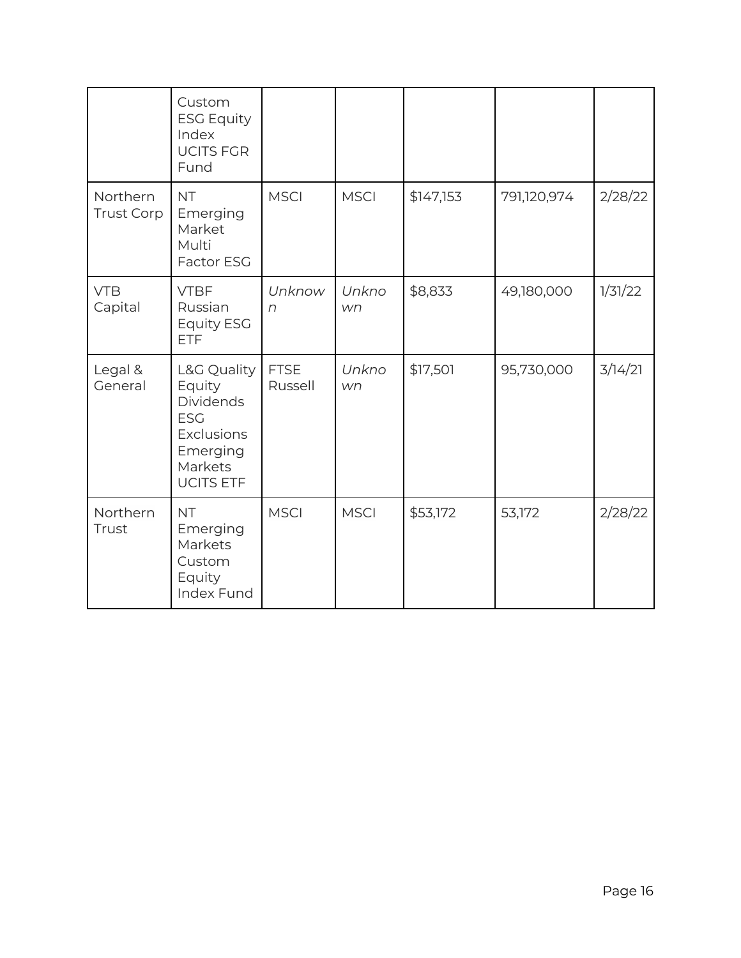|                               | Custom<br><b>ESG Equity</b><br>Index<br><b>UCITS FGR</b><br>Fund                                                        |                        |             |           |             |         |
|-------------------------------|-------------------------------------------------------------------------------------------------------------------------|------------------------|-------------|-----------|-------------|---------|
| Northern<br><b>Trust Corp</b> | <b>NT</b><br>Emerging<br>Market<br>Multi<br>Factor ESG                                                                  | <b>MSCI</b>            | <b>MSCI</b> | \$147,153 | 791,120,974 | 2/28/22 |
| <b>VTB</b><br>Capital         | <b>VTBF</b><br>Russian<br><b>Equity ESG</b><br><b>ETF</b>                                                               | Unknow<br>$\sqrt{n}$   | Unkno<br>wn | \$8,833   | 49,180,000  | 1/31/22 |
| Legal &<br>General            | L&G Quality<br>Equity<br><b>Dividends</b><br><b>ESG</b><br><b>Exclusions</b><br>Emerging<br>Markets<br><b>UCITS ETF</b> | <b>FTSE</b><br>Russell | Unkno<br>wn | \$17,501  | 95,730,000  | 3/14/21 |
| Northern<br>Trust             | <b>NT</b><br>Emerging<br>Markets<br>Custom<br>Equity<br><b>Index Fund</b>                                               | <b>MSCI</b>            | <b>MSCI</b> | \$53,172  | 53,172      | 2/28/22 |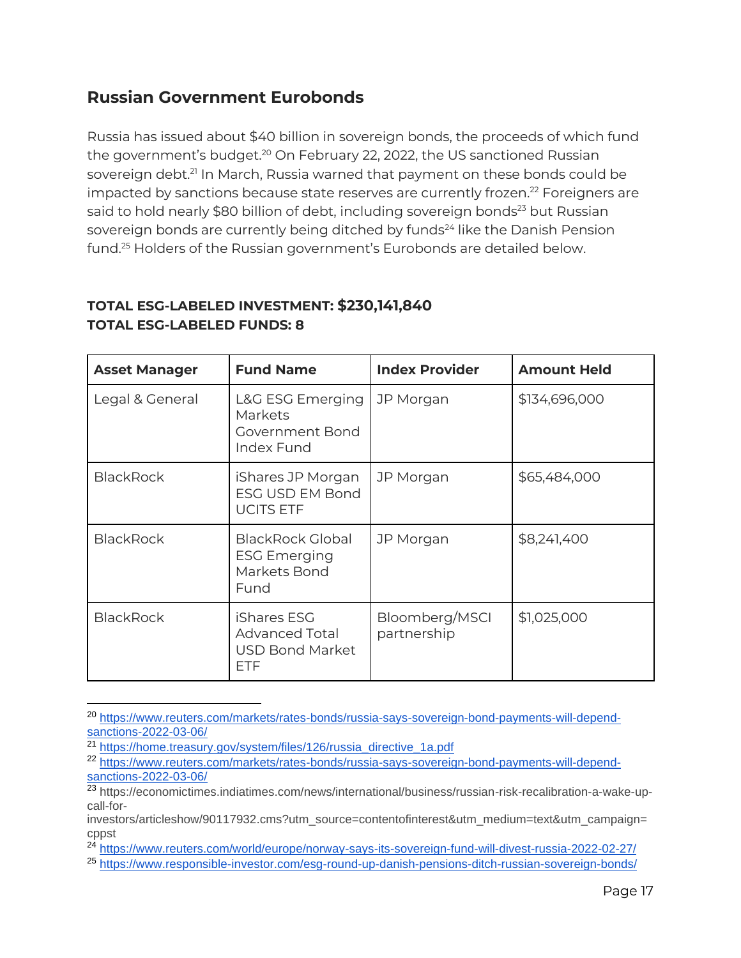## <span id="page-16-0"></span>**Russian Government Eurobonds**

Russia has issued about \$40 billion in sovereign bonds, the proceeds of which fund the government's budget.<sup>20</sup> On February 22, 2022, the US sanctioned Russian sovereign debt.<sup>21</sup> In March, Russia warned that payment on these bonds could be impacted by sanctions because state reserves are currently frozen.<sup>22</sup> Foreigners are said to hold nearly \$80 billion of debt, including sovereign bonds<sup>23</sup> but Russian sovereign bonds are currently being ditched by funds<sup>24</sup> like the Danish Pension fund.<sup>25</sup> Holders of the Russian government's Eurobonds are detailed below.

## **TOTAL ESG-LABELED INVESTMENT: \$230,141,840 TOTAL ESG-LABELED FUNDS: 8**

| <b>Asset Manager</b> | <b>Fund Name</b>                                                             | <b>Index Provider</b>         | <b>Amount Held</b> |
|----------------------|------------------------------------------------------------------------------|-------------------------------|--------------------|
| Legal & General      | L&G ESG Emerging<br>Markets<br>Government Bond<br>Index Fund                 | JP Morgan                     | \$134,696,000      |
| <b>BlackRock</b>     | iShares JP Morgan<br><b>ESG USD EM Bond</b><br><b>UCITS ETF</b>              | JP Morgan                     | \$65,484,000       |
| <b>BlackRock</b>     | <b>BlackRock Global</b><br><b>ESG Emerging</b><br>Markets Bond<br>Fund       | JP Morgan                     | \$8,241,400        |
| <b>BlackRock</b>     | iShares ESG<br><b>Advanced Total</b><br><b>USD Bond Market</b><br><b>ETF</b> | Bloomberg/MSCI<br>partnership | \$1,025,000        |

<sup>20</sup> [https://www.reuters.com/markets/rates-bonds/russia-says-sovereign-bond-payments-will-depend](https://www.reuters.com/markets/rates-bonds/russia-says-sovereign-bond-payments-will-depend-sanctions-2022-03-06/)[sanctions-2022-03-06/](https://www.reuters.com/markets/rates-bonds/russia-says-sovereign-bond-payments-will-depend-sanctions-2022-03-06/)

<sup>&</sup>lt;sup>21</sup> [https://home.treasury.gov/system/files/126/russia\\_directive\\_1a.pdf](https://home.treasury.gov/system/files/126/russia_directive_1a.pdf)

<sup>22</sup> [https://www.reuters.com/markets/rates-bonds/russia-says-sovereign-bond-payments-will-depend](https://www.reuters.com/markets/rates-bonds/russia-says-sovereign-bond-payments-will-depend-sanctions-2022-03-06/)[sanctions-2022-03-06/](https://www.reuters.com/markets/rates-bonds/russia-says-sovereign-bond-payments-will-depend-sanctions-2022-03-06/)

<sup>23</sup> [https://economictimes.indiatimes.com/news/international/business/russian-risk-recalibration-a-wake-up](https://economictimes.indiatimes.com/news/international/business/russian-risk-recalibration-a-wake-up-call-for-investors/articleshow/90117932.cms?utm_source=contentofinterest&utm_medium=text&utm_campaign=cppst)[call-for-](https://economictimes.indiatimes.com/news/international/business/russian-risk-recalibration-a-wake-up-call-for-investors/articleshow/90117932.cms?utm_source=contentofinterest&utm_medium=text&utm_campaign=cppst)

[investors/articleshow/90117932.cms?utm\\_source=contentofinterest&utm\\_medium=text&utm\\_campaign=](https://economictimes.indiatimes.com/news/international/business/russian-risk-recalibration-a-wake-up-call-for-investors/articleshow/90117932.cms?utm_source=contentofinterest&utm_medium=text&utm_campaign=cppst) [cppst](https://economictimes.indiatimes.com/news/international/business/russian-risk-recalibration-a-wake-up-call-for-investors/articleshow/90117932.cms?utm_source=contentofinterest&utm_medium=text&utm_campaign=cppst) 

<sup>24</sup> <https://www.reuters.com/world/europe/norway-says-its-sovereign-fund-will-divest-russia-2022-02-27/>

<sup>25</sup> <https://www.responsible-investor.com/esg-round-up-danish-pensions-ditch-russian-sovereign-bonds/>